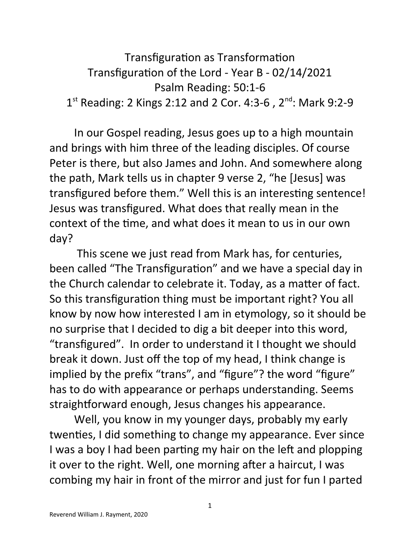```
Transfiguration as Transformation
    Transfiguration of the Lord - Year B - 02/14/2021
                   Psalm Reading: 50:1-6
1<sup>st</sup> Reading: 2 Kings 2:12 and 2 Cor. 4:3-6, 2<sup>nd</sup>: Mark 9:2-9
```
In our Gospel reading, Jesus goes up to a high mountain and brings with him three of the leading disciples. Of course Peter is there, but also James and John. And somewhere along the path, Mark tells us in chapter 9 verse 2, "he [Jesus] was transfigured before them." Well this is an interesting sentence! Jesus was transfigured. What does that really mean in the context of the time, and what does it mean to us in our own day?

 This scene we just read from Mark has, for centuries, been called "The Transfiguration" and we have a special day in the Church calendar to celebrate it. Today, as a matter of fact. So this transfiguration thing must be important right? You all know by now how interested I am in etymology, so it should be no surprise that I decided to dig a bit deeper into this word, "transfigured". In order to understand it I thought we should break it down. Just off the top of my head, I think change is implied by the prefix "trans", and "figure"? the word "figure" has to do with appearance or perhaps understanding. Seems straightforward enough, Jesus changes his appearance.

Well, you know in my younger days, probably my early twenties, I did something to change my appearance. Ever since I was a boy I had been parting my hair on the left and plopping it over to the right. Well, one morning after a haircut, I was combing my hair in front of the mirror and just for fun I parted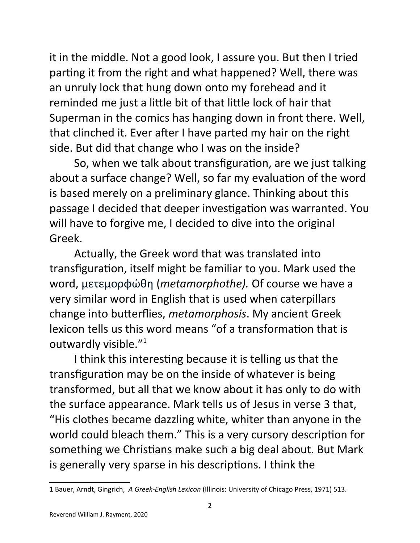it in the middle. Not a good look, I assure you. But then I tried parting it from the right and what happened? Well, there was an unruly lock that hung down onto my forehead and it reminded me just a little bit of that little lock of hair that Superman in the comics has hanging down in front there. Well, that clinched it. Ever after I have parted my hair on the right side. But did that change who I was on the inside?

So, when we talk about transfiguration, are we just talking about a surface change? Well, so far my evaluation of the word is based merely on a preliminary glance. Thinking about this passage I decided that deeper investigation was warranted. You will have to forgive me, I decided to dive into the original Greek.

Actually, the Greek word that was translated into transfiguration, itself might be familiar to you. Mark used the word, μετεμορφώθη (*metamorphothe).* Of course we have a very similar word in English that is used when caterpillars change into butterflies, *metamorphosis*. My ancient Greek lexicon tells us this word means "of a transformation that is outwardly visible."[1](#page-1-0)

I think this interesting because it is telling us that the transfiguration may be on the inside of whatever is being transformed, but all that we know about it has only to do with the surface appearance. Mark tells us of Jesus in verse 3 that, "His clothes became dazzling white, whiter than anyone in the world could bleach them." This is a very cursory description for something we Christians make such a big deal about. But Mark is generally very sparse in his descriptions. I think the

<span id="page-1-0"></span><sup>1</sup> Bauer, Arndt, Gingrich, *A Greek-English Lexicon* (Illinois: University of Chicago Press, 1971) 513.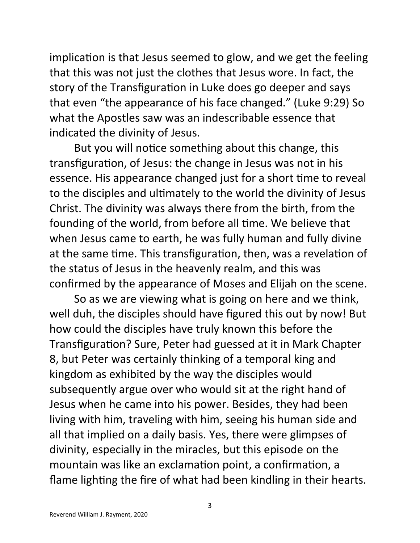implication is that Jesus seemed to glow, and we get the feeling that this was not just the clothes that Jesus wore. In fact, the story of the Transfiguration in Luke does go deeper and says that even "the appearance of his face changed." (Luke 9:29) So what the Apostles saw was an indescribable essence that indicated the divinity of Jesus.

But you will notice something about this change, this transfiguration, of Jesus: the change in Jesus was not in his essence. His appearance changed just for a short time to reveal to the disciples and ultimately to the world the divinity of Jesus Christ. The divinity was always there from the birth, from the founding of the world, from before all time. We believe that when Jesus came to earth, he was fully human and fully divine at the same time. This transfiguration, then, was a revelation of the status of Jesus in the heavenly realm, and this was confirmed by the appearance of Moses and Elijah on the scene.

So as we are viewing what is going on here and we think, well duh, the disciples should have figured this out by now! But how could the disciples have truly known this before the Transfiguration? Sure, Peter had guessed at it in Mark Chapter 8, but Peter was certainly thinking of a temporal king and kingdom as exhibited by the way the disciples would subsequently argue over who would sit at the right hand of Jesus when he came into his power. Besides, they had been living with him, traveling with him, seeing his human side and all that implied on a daily basis. Yes, there were glimpses of divinity, especially in the miracles, but this episode on the mountain was like an exclamation point, a confirmation, a flame lighting the fire of what had been kindling in their hearts.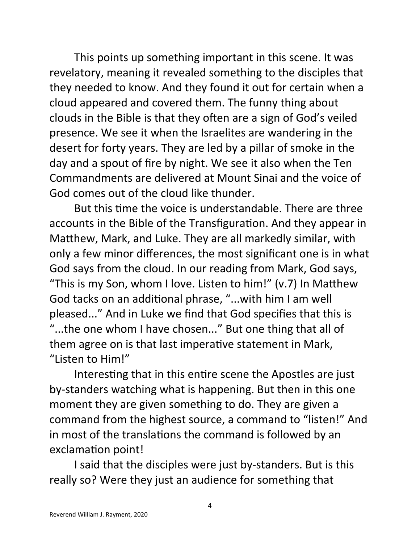This points up something important in this scene. It was revelatory, meaning it revealed something to the disciples that they needed to know. And they found it out for certain when a cloud appeared and covered them. The funny thing about clouds in the Bible is that they often are a sign of God's veiled presence. We see it when the Israelites are wandering in the desert for forty years. They are led by a pillar of smoke in the day and a spout of fire by night. We see it also when the Ten Commandments are delivered at Mount Sinai and the voice of God comes out of the cloud like thunder.

But this time the voice is understandable. There are three accounts in the Bible of the Transfiguration. And they appear in Matthew, Mark, and Luke. They are all markedly similar, with only a few minor differences, the most significant one is in what God says from the cloud. In our reading from Mark, God says, "This is my Son, whom I love. Listen to him!" (v.7) In Matthew God tacks on an additional phrase, "...with him I am well pleased..." And in Luke we find that God specifies that this is "...the one whom I have chosen..." But one thing that all of them agree on is that last imperative statement in Mark, "Listen to Him!"

Interesting that in this entire scene the Apostles are just by-standers watching what is happening. But then in this one moment they are given something to do. They are given a command from the highest source, a command to "listen!" And in most of the translations the command is followed by an exclamation point!

I said that the disciples were just by-standers. But is this really so? Were they just an audience for something that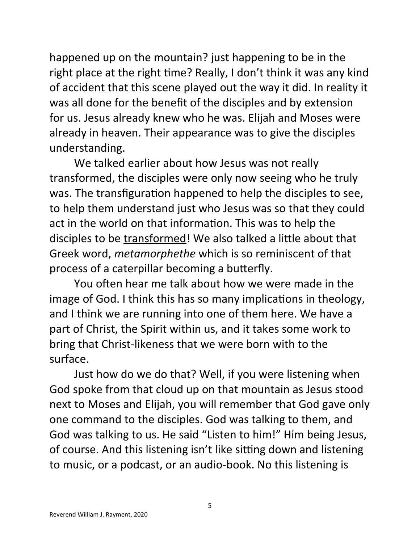happened up on the mountain? just happening to be in the right place at the right time? Really, I don't think it was any kind of accident that this scene played out the way it did. In reality it was all done for the benefit of the disciples and by extension for us. Jesus already knew who he was. Elijah and Moses were already in heaven. Their appearance was to give the disciples understanding.

We talked earlier about how Jesus was not really transformed, the disciples were only now seeing who he truly was. The transfiguration happened to help the disciples to see, to help them understand just who Jesus was so that they could act in the world on that information. This was to help the disciples to be transformed! We also talked a little about that Greek word, *metamorphethe* which is so reminiscent of that process of a caterpillar becoming a butterfly.

You often hear me talk about how we were made in the image of God. I think this has so many implications in theology, and I think we are running into one of them here. We have a part of Christ, the Spirit within us, and it takes some work to bring that Christ-likeness that we were born with to the surface.

Just how do we do that? Well, if you were listening when God spoke from that cloud up on that mountain as Jesus stood next to Moses and Elijah, you will remember that God gave only one command to the disciples. God was talking to them, and God was talking to us. He said "Listen to him!" Him being Jesus, of course. And this listening isn't like sitting down and listening to music, or a podcast, or an audio-book. No this listening is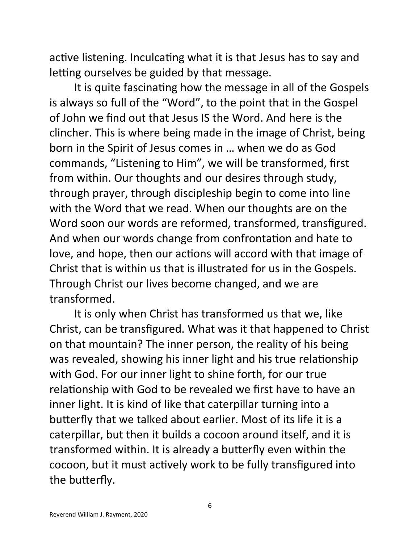active listening. Inculcating what it is that Jesus has to say and letting ourselves be guided by that message.

It is quite fascinating how the message in all of the Gospels is always so full of the "Word", to the point that in the Gospel of John we find out that Jesus IS the Word. And here is the clincher. This is where being made in the image of Christ, being born in the Spirit of Jesus comes in … when we do as God commands, "Listening to Him", we will be transformed, first from within. Our thoughts and our desires through study, through prayer, through discipleship begin to come into line with the Word that we read. When our thoughts are on the Word soon our words are reformed, transformed, transfigured. And when our words change from confrontation and hate to love, and hope, then our actions will accord with that image of Christ that is within us that is illustrated for us in the Gospels. Through Christ our lives become changed, and we are transformed.

It is only when Christ has transformed us that we, like Christ, can be transfigured. What was it that happened to Christ on that mountain? The inner person, the reality of his being was revealed, showing his inner light and his true relationship with God. For our inner light to shine forth, for our true relationship with God to be revealed we first have to have an inner light. It is kind of like that caterpillar turning into a butterfly that we talked about earlier. Most of its life it is a caterpillar, but then it builds a cocoon around itself, and it is transformed within. It is already a butterfly even within the cocoon, but it must actively work to be fully transfigured into the butterfly.